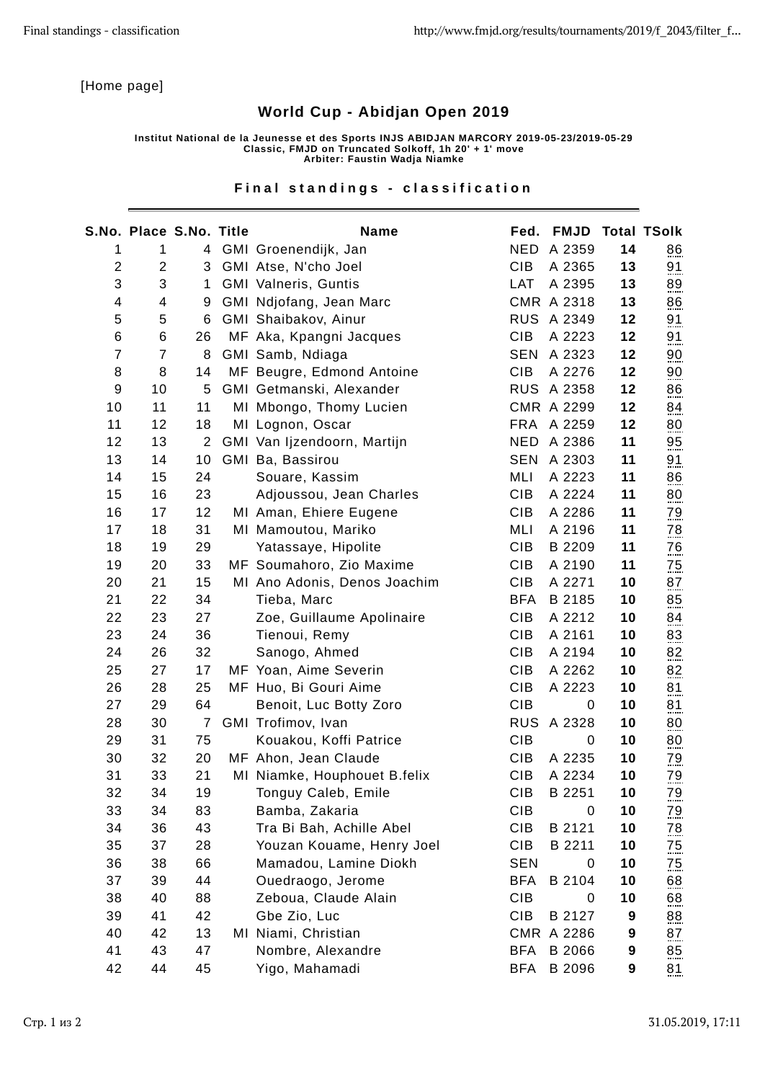[Home page]

## World Cup - Abidjan Open 2019

Institut National de la Jeunesse et des Sports INJS ABIDJAN MARCORY 2019-05-23/2019-05-29 Classic, FMJD on Truncated Solkoff, 1h 20' + 1' move Arbiter: Faustin Wadja Niamke

## Final standings - classification

|                  | <b>S.No. Place S.No. Title</b> |                 | Name                         |            | Fed. FMJD Total TSolk |    |                  |
|------------------|--------------------------------|-----------------|------------------------------|------------|-----------------------|----|------------------|
| $\mathbf{1}$     | 1                              | 4               | GMI Groenendijk, Jan         |            | NED A 2359            | 14 | $\frac{86}{2}$   |
| $\overline{c}$   | $\overline{c}$                 | 3               | GMI Atse, N'cho Joel         | <b>CIB</b> | A 2365                | 13 | 91               |
| 3                | 3                              | $1\overline{ }$ | <b>GMI Valneris, Guntis</b>  | LAT        | A 2395                | 13 | 89               |
| 4                | 4                              | 9               | GMI Ndjofang, Jean Marc      |            | CMR A 2318            | 13 | $\underline{86}$ |
| 5                | 5                              | 6               | GMI Shaibakov, Ainur         |            | RUS A 2349            | 12 | 91               |
| 6                | 6                              | 26              | MF Aka, Kpangni Jacques      | <b>CIB</b> | A 2223                | 12 | 91               |
| $\boldsymbol{7}$ | $\overline{7}$                 | 8               | GMI Samb, Ndiaga             |            | <b>SEN A 2323</b>     | 12 | $\overline{00}$  |
| 8                | 8                              | 14              | MF Beugre, Edmond Antoine    | <b>CIB</b> | A 2276                | 12 | $\frac{90}{2}$   |
| $\boldsymbol{9}$ | 10                             | 5               | GMI Getmanski, Alexander     |            | <b>RUS A 2358</b>     | 12 | 86               |
| 10               | 11                             | 11              | MI Mbongo, Thomy Lucien      |            | CMR A 2299            | 12 | 84               |
| 11               | 12                             | 18              | MI Lognon, Oscar             |            | FRA A 2259            | 12 | $\underline{80}$ |
| 12               | 13                             | $\overline{2}$  | GMI Van Ijzendoorn, Martijn  |            | NED A 2386            | 11 | $\underline{95}$ |
| 13               | 14                             | 10              | GMI Ba, Bassirou             |            | SEN A 2303            | 11 | 91               |
| 14               | 15                             | 24              | Souare, Kassim               | MLI        | A 2223                | 11 | 86               |
| 15               | 16                             | 23              | Adjoussou, Jean Charles      | <b>CIB</b> | A 2224                | 11 | 80               |
| 16               | 17                             | 12              | MI Aman, Ehiere Eugene       | <b>CIB</b> | A 2286                | 11 | $\frac{79}{100}$ |
| 17               | 18                             | 31              | MI Mamoutou, Mariko          | MLI        | A 2196                | 11 | $\frac{78}{2}$   |
| 18               | 19                             | 29              | Yatassaye, Hipolite          | <b>CIB</b> | B 2209                | 11 | $\frac{76}{2}$   |
| 19               | 20                             | 33              | MF Soumahoro, Zio Maxime     | <b>CIB</b> | A 2190                | 11 | $\frac{75}{2}$   |
| 20               | 21                             | 15              | MI Ano Adonis, Denos Joachim | CIB        | A 2271                | 10 | 87               |
| 21               | 22                             | 34              | Tieba, Marc                  | <b>BFA</b> | B 2185                | 10 | 85               |
| 22               | 23                             | 27              | Zoe, Guillaume Apolinaire    | <b>CIB</b> | A 2212                | 10 | 84               |
| 23               | 24                             | 36              | Tienoui, Remy                | <b>CIB</b> | A 2161                | 10 | 83               |
| 24               | 26                             | 32              | Sanogo, Ahmed                | <b>CIB</b> | A 2194                | 10 | 82               |
| 25               | 27                             | 17              | MF Yoan, Aime Severin        | <b>CIB</b> | A 2262                | 10 | 82               |
| 26               | 28                             | 25              | MF Huo, Bi Gouri Aime        | <b>CIB</b> | A 2223                | 10 | $\underline{81}$ |
| 27               | 29                             | 64              | Benoit, Luc Botty Zoro       | <b>CIB</b> | 0                     | 10 | 81               |
| 28               | 30                             | $\overline{7}$  | GMI Trofimov, Ivan           |            | <b>RUS A 2328</b>     | 10 | 80               |
| 29               | 31                             | 75              | Kouakou, Koffi Patrice       | CIB        | 0                     | 10 | 80               |
| 30               | 32                             | 20              | MF Ahon, Jean Claude         | <b>CIB</b> | A 2235                | 10 | <u>79</u>        |
| 31               | 33                             | 21              | MI Niamke, Houphouet B.felix | <b>CIB</b> | A 2234                | 10 | $\frac{79}{2}$   |
| 32               | 34                             | 19              | Tonguy Caleb, Emile          | CIB        | B 2251                | 10 | $79$             |
| 33               | 34                             | 83              | Bamba, Zakaria               | <b>CIB</b> | 0                     | 10 | <u>79</u>        |
| 34               | 36                             | 43              | Tra Bi Bah, Achille Abel     | <b>CIB</b> | B 2121                | 10 | <u>78</u>        |
| 35               | 37                             | 28              | Youzan Kouame, Henry Joel    | <b>CIB</b> | B 2211                | 10 | $\frac{75}{2}$   |
| 36               | 38                             | 66              | Mamadou, Lamine Diokh        | <b>SEN</b> | $\boldsymbol{0}$      | 10 | $\frac{75}{2}$   |
| 37               | 39                             | 44              | Ouedraogo, Jerome            | <b>BFA</b> | B 2104                | 10 | $\underline{68}$ |
| 38               | 40                             | 88              | Zeboua, Claude Alain         | <b>CIB</b> | 0                     | 10 | $\underline{68}$ |
| 39               | 41                             | 42              | Gbe Zio, Luc                 | <b>CIB</b> | B 2127                | 9  | $\underline{88}$ |
| 40               | 42                             | 13              | MI Niami, Christian          |            | CMR A 2286            | 9  | 87               |
| 41               | 43                             | 47              | Nombre, Alexandre            | <b>BFA</b> | B 2066                | 9  | $\underline{85}$ |
| 42               | 44                             | 45              | Yigo, Mahamadi               | <b>BFA</b> | B 2096                | 9  | 81               |